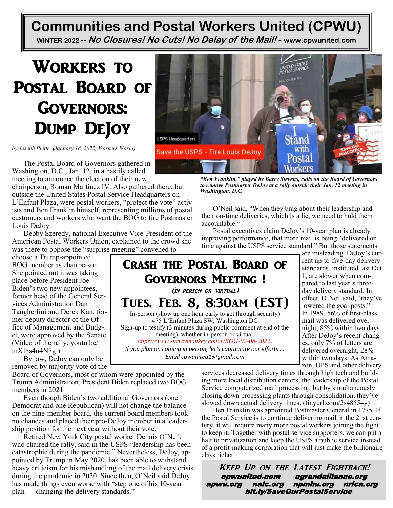## **Communities and Postal Workers United (CPWU) WINTER 2022 -- No Closures! No Cuts! No Delay of the Mail! - [www.cpwunited.com](http://www.cpwunited.com)**

# Workers to Postal Board of Governors: Dump DeJoy

*by [Joseph Piette](https://www.workers.org/author/joep/) (January 18, 2022, Workers World)*

The Postal Board of Governors gathered in Washington, D.C., Jan. 12, in a hastily called meeting to announce the election of their new

chairperson, Roman Martinez IV. Also gathered there, but outside the United States Postal Service Headquarters on L'Enfant Plaza, were postal workers, "protect the vote" activists and Ben Franklin himself, representing millions of postal customers and workers who want the BOG to fire Postmaster Louis DeJoy.

Debby Szeredy, national Executive Vice-President of the American Postal Workers Union, explained to the crowd she was there to oppose the "surprise meeting" convened to

choose a Trump-appointed BOG member as chairperson. She pointed out it was taking place before President Joe Biden's two new appointees, former head of the General Services Administration Dan Tangherlini and Derek Kan, former deputy director of the Office of Management and Budget, were approved by the Senate. (Video of the rally: [youtu.be/](https://youtu.be/mXf8s4n4N7g)  $mXf8s4n4N7g$ )

By law, DeJoy can only be removed by majority vote of the

Board of Governors, most of whom were appointed by the Trump Administration. President Biden replaced two BOG members in 2021.

Even though Biden's two additional Governors (one Democrat and one Republican) will not change the balance on the nine-member board, the current board members took no chances and placed their pro-DeJoy member in a leadership position for the next year without their vote.

Retired New York City postal worker Dennis O'Neil, who chaired the rally, said in the USPS "leadership has been catastrophic during the pandemic." Nevertheless, DeJoy, appointed by Trump in May 2020, has been able to withstand heavy criticism for his mishandling of the mail delivery crisis during the pandemic in 2020. Since then, O'Neil said DeJoy has made things even worse with "step one of his 10-year plan — changing the delivery standards."



*"Ben Franklin," played by Barry Stevens, calls on the Board of Governors to remove Postmaster DeJoy at a rally outside their Jan. 12 meeting in Washington, D.C.*

O'Neil said, "When they brag about their leadership and their on-time deliveries, which is a lie, we need to hold them accountable."

Postal executives claim DeJoy's 10-year plan is already improving performance, that more mail is being "delivered on time against the USPS service standard." But those statements



are misleading. DeJoy's current up-to-five-day delivery standards, instituted last Oct. 1, are slower when compared to last year's threeday delivery standard. In effect, O'Neil said, "they've lowered the goal posts." In 1989, 56% of first-class mail was delivered overnight, 85% within two days. After DeJoy's recent changes, only 7% of letters are delivered overnight, 28% within two days. As Amazon, UPS and other delivery

services decreased delivery times through high tech and building more local distribution centers, the leadership of the Postal Service computerized mail processing; but by simultaneously closing down processing plants through consolidation, they've slowed down actual delivery times. ([tinyurl.com/2s48554y\)](https://tinyurl.com/2s48554y)

Ben Franklin was appointed Postmaster General in 1775. If the Postal Service is to continue delivering mail in the 21st century, it will require many more postal workers joining the fight to keep it. Together with postal service supporters, we can put a halt to privatization and keep the USPS a public service instead of a profit-making corporation that will just make the billionaire class richer.

Keep Up on the Latest Fightback! cpwunited.com agrandalliance.org apwu.org nalc.org npmhu.org nrlca.org bit.ly/SaveOurPostalService